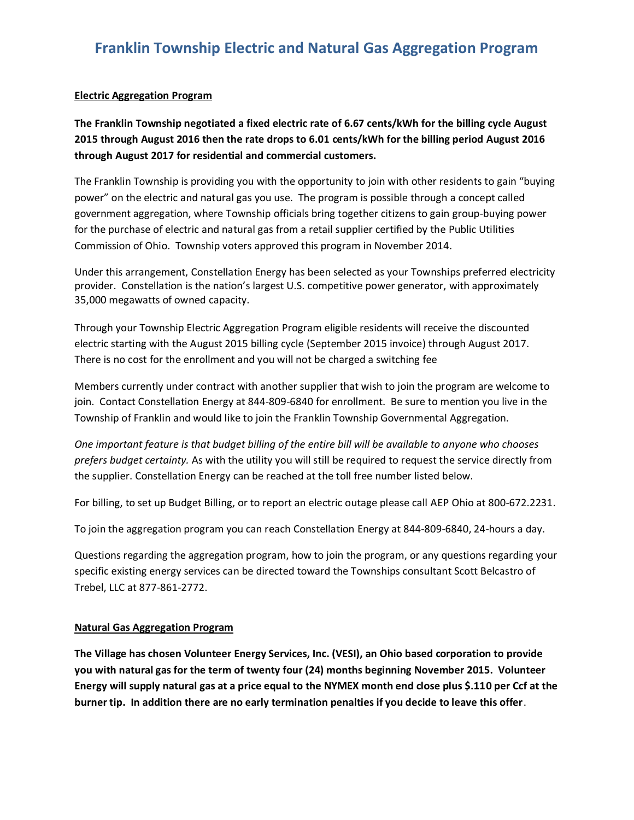## **Franklin Township Electric and Natural Gas Aggregation Program**

## **Electric Aggregation Program**

**The Franklin Township negotiated a fixed electric rate of 6.67 cents/kWh for the billing cycle August 2015 through August 2016 then the rate drops to 6.01 cents/kWh for the billing period August 2016 through August 2017 for residential and commercial customers.** 

The Franklin Township is providing you with the opportunity to join with other residents to gain "buying power" on the electric and natural gas you use. The program is possible through a concept called government aggregation, where Township officials bring together citizens to gain group-buying power for the purchase of electric and natural gas from a retail supplier certified by the Public Utilities Commission of Ohio. Township voters approved this program in November 2014.

Under this arrangement, Constellation Energy has been selected as your Townships preferred electricity provider. Constellation is the nation's largest U.S. competitive power generator, with approximately 35,000 megawatts of owned capacity.

Through your Township Electric Aggregation Program eligible residents will receive the discounted electric starting with the August 2015 billing cycle (September 2015 invoice) through August 2017. There is no cost for the enrollment and you will not be charged a switching fee

Members currently under contract with another supplier that wish to join the program are welcome to join. Contact Constellation Energy at 844-809-6840 for enrollment. Be sure to mention you live in the Township of Franklin and would like to join the Franklin Township Governmental Aggregation.

*One important feature is that budget billing of the entire bill will be available to anyone who chooses prefers budget certainty.* As with the utility you will still be required to request the service directly from the supplier. Constellation Energy can be reached at the toll free number listed below.

For billing, to set up Budget Billing, or to report an electric outage please call AEP Ohio at 800-672.2231.

To join the aggregation program you can reach Constellation Energy at 844-809-6840, 24-hours a day.

Questions regarding the aggregation program, how to join the program, or any questions regarding your specific existing energy services can be directed toward the Townships consultant Scott Belcastro of Trebel, LLC at 877-861-2772.

## **Natural Gas Aggregation Program**

**The Village has chosen Volunteer Energy Services, Inc. (VESI), an Ohio based corporation to provide you with natural gas for the term of twenty four (24) months beginning November 2015. Volunteer Energy will supply natural gas at a price equal to the NYMEX month end close plus \$.110 per Ccf at the burner tip. In addition there are no early termination penalties if you decide to leave this offer**.